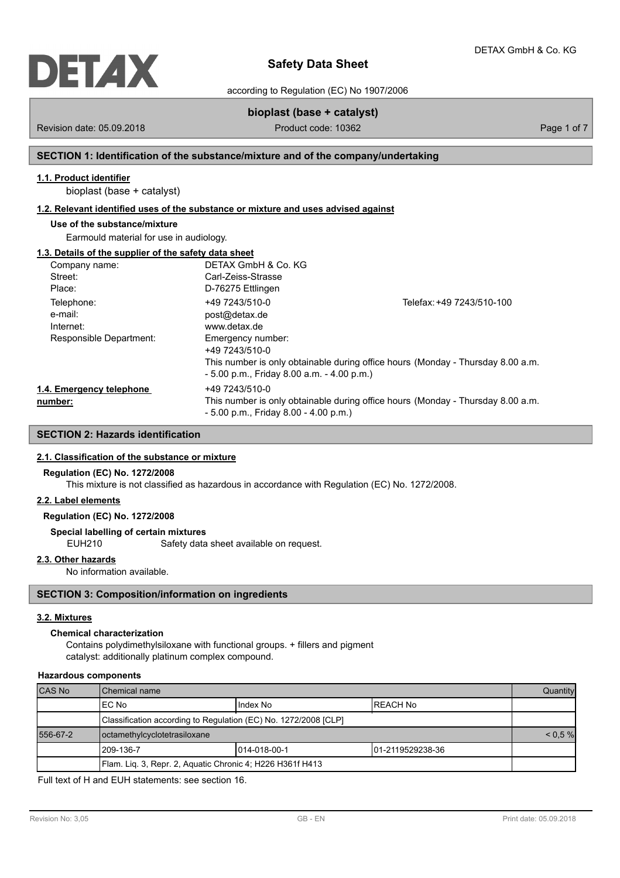

according to Regulation (EC) No 1907/2006

# **bioplast (base + catalyst)**

Revision date: 05.09.2018 **Product code: 10362** Product code: 10362 Page 1 of 7

# **SECTION 1: Identification of the substance/mixture and of the company/undertaking**

# **1.1. Product identifier**

bioplast (base + catalyst)

# **1.2. Relevant identified uses of the substance or mixture and uses advised against**

# **Use of the substance/mixture**

Earmould material for use in audiology.

# **1.3. Details of the supplier of the safety data sheet**

| Company name:            | DETAX GmbH & Co. KG                          |                                                                                 |
|--------------------------|----------------------------------------------|---------------------------------------------------------------------------------|
| Street:                  | Carl-Zeiss-Strasse                           |                                                                                 |
| Place:                   | D-76275 Ettlingen                            |                                                                                 |
| Telephone:               | +49 7243/510-0                               | Telefax: +49 7243/510-100                                                       |
| e-mail:                  | post@detax.de                                |                                                                                 |
| Internet:                | www.detax.de                                 |                                                                                 |
| Responsible Department:  | Emergency number:                            |                                                                                 |
|                          | +49 7243/510-0                               |                                                                                 |
|                          |                                              | This number is only obtainable during office hours (Monday - Thursday 8.00 a.m. |
|                          | $-5.00$ p.m., Friday 8.00 a.m. $-4.00$ p.m.) |                                                                                 |
| 1.4. Emergency telephone | +49 7243/510-0                               |                                                                                 |
| number:                  |                                              | This number is only obtainable during office hours (Monday - Thursday 8.00 a.m. |
|                          | $-5.00$ p.m., Friday 8.00 $-4.00$ p.m.)      |                                                                                 |

# **SECTION 2: Hazards identification**

## **2.1. Classification of the substance or mixture**

## **Regulation (EC) No. 1272/2008**

This mixture is not classified as hazardous in accordance with Regulation (EC) No. 1272/2008.

# **2.2. Label elements**

# **Regulation (EC) No. 1272/2008**

# **Special labelling of certain mixtures**

EUH210 Safety data sheet available on request.

## **2.3. Other hazards**

No information available.

# **SECTION 3: Composition/information on ingredients**

## **3.2. Mixtures**

# **Chemical characterization**

Contains polydimethylsiloxane with functional groups. + fillers and pigment catalyst: additionally platinum complex compound.

# **Hazardous components**

| <b>CAS No</b> | Chemical name                                                   |                         |  |  |  |  |
|---------------|-----------------------------------------------------------------|-------------------------|--|--|--|--|
|               | IEC No                                                          | I Index No<br>IREACH No |  |  |  |  |
|               | Classification according to Regulation (EC) No. 1272/2008 [CLP] |                         |  |  |  |  |
| 556-67-2      | octamethylcyclotetrasiloxane                                    |                         |  |  |  |  |
|               | 1014-018-00-1<br>1209-136-7<br>101-2119529238-36                |                         |  |  |  |  |
|               | Flam. Liq. 3, Repr. 2, Aquatic Chronic 4; H226 H361f H413       |                         |  |  |  |  |

Full text of H and EUH statements: see section 16.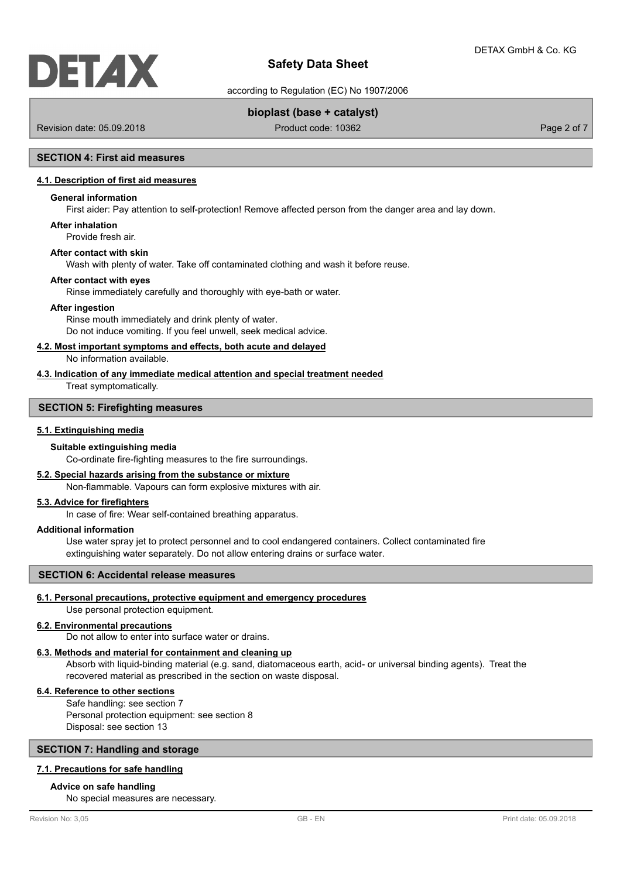

according to Regulation (EC) No 1907/2006

# **bioplast (base + catalyst)**

Revision date: 05.09.2018 Product code: 10362 Product code: 10362 Page 2 of 7

# **SECTION 4: First aid measures**

# **4.1. Description of first aid measures**

#### **General information**

First aider: Pay attention to self-protection! Remove affected person from the danger area and lay down.

**After inhalation**

Provide fresh air.

## **After contact with skin**

Wash with plenty of water. Take off contaminated clothing and wash it before reuse.

#### **After contact with eyes**

Rinse immediately carefully and thoroughly with eye-bath or water.

#### **After ingestion**

Rinse mouth immediately and drink plenty of water. Do not induce vomiting. If you feel unwell, seek medical advice.

## **4.2. Most important symptoms and effects, both acute and delayed**

No information available.

**4.3. Indication of any immediate medical attention and special treatment needed** Treat symptomatically.

# **SECTION 5: Firefighting measures**

## **5.1. Extinguishing media**

#### **Suitable extinguishing media**

Co-ordinate fire-fighting measures to the fire surroundings.

# **5.2. Special hazards arising from the substance or mixture**

Non-flammable. Vapours can form explosive mixtures with air.

## **5.3. Advice for firefighters**

In case of fire: Wear self-contained breathing apparatus.

## **Additional information**

Use water spray jet to protect personnel and to cool endangered containers. Collect contaminated fire extinguishing water separately. Do not allow entering drains or surface water.

## **SECTION 6: Accidental release measures**

# **6.1. Personal precautions, protective equipment and emergency procedures**

Use personal protection equipment.

# **6.2. Environmental precautions**

Do not allow to enter into surface water or drains.

# **6.3. Methods and material for containment and cleaning up**

Absorb with liquid-binding material (e.g. sand, diatomaceous earth, acid- or universal binding agents). Treat the recovered material as prescribed in the section on waste disposal.

# **6.4. Reference to other sections**

Safe handling: see section 7 Personal protection equipment: see section 8 Disposal: see section 13

# **SECTION 7: Handling and storage**

## **7.1. Precautions for safe handling**

#### **Advice on safe handling**

No special measures are necessary.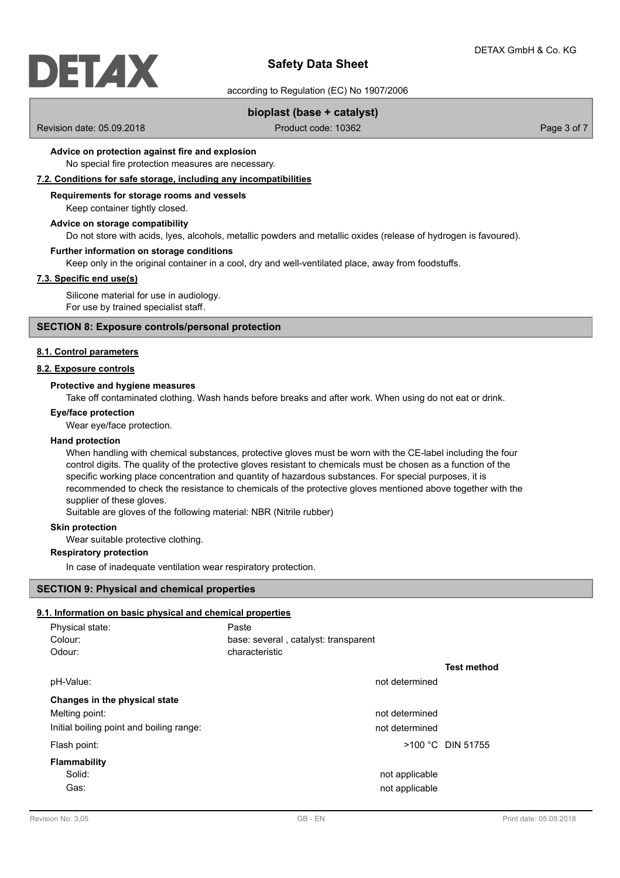# DETAX

# **Safety Data Sheet**

according to Regulation (EC) No 1907/2006

# **bioplast (base + catalyst)**

Revision date: 05.09.2018 Product code: 10362 Product code: 10362 Page 3 of 7

# **Advice on protection against fire and explosion**

No special fire protection measures are necessary.

# **7.2. Conditions for safe storage, including any incompatibilities**

## **Requirements for storage rooms and vessels**

Keep container tightly closed.

## **Advice on storage compatibility**

Do not store with acids, lyes, alcohols, metallic powders and metallic oxides (release of hydrogen is favoured).

## **Further information on storage conditions**

Keep only in the original container in a cool, dry and well-ventilated place, away from foodstuffs.

# **7.3. Specific end use(s)**

Silicone material for use in audiology. For use by trained specialist staff.

## **SECTION 8: Exposure controls/personal protection**

## **8.1. Control parameters**

# **8.2. Exposure controls**

## **Protective and hygiene measures**

Take off contaminated clothing. Wash hands before breaks and after work. When using do not eat or drink.

## **Eye/face protection**

Wear eye/face protection.

#### **Hand protection**

When handling with chemical substances, protective gloves must be worn with the CE-label including the four control digits. The quality of the protective gloves resistant to chemicals must be chosen as a function of the specific working place concentration and quantity of hazardous substances. For special purposes, it is recommended to check the resistance to chemicals of the protective gloves mentioned above together with the supplier of these gloves.

Suitable are gloves of the following material: NBR (Nitrile rubber)

## **Skin protection**

Wear suitable protective clothing.

## **Respiratory protection**

In case of inadequate ventilation wear respiratory protection.

## **SECTION 9: Physical and chemical properties**

# **9.1. Information on basic physical and chemical properties**

| Physical state:                          | Paste                                |                     |
|------------------------------------------|--------------------------------------|---------------------|
| Colour:                                  | base: several, catalyst: transparent |                     |
| Odour:                                   | characteristic                       |                     |
|                                          |                                      | <b>Test method</b>  |
| pH-Value:                                | not determined                       |                     |
| Changes in the physical state            |                                      |                     |
| Melting point:                           | not determined                       |                     |
| Initial boiling point and boiling range: | not determined                       |                     |
| Flash point:                             |                                      | $>100$ °C DIN 51755 |
| Flammability                             |                                      |                     |
| Solid:                                   | not applicable                       |                     |
| Gas:                                     | not applicable                       |                     |
|                                          |                                      |                     |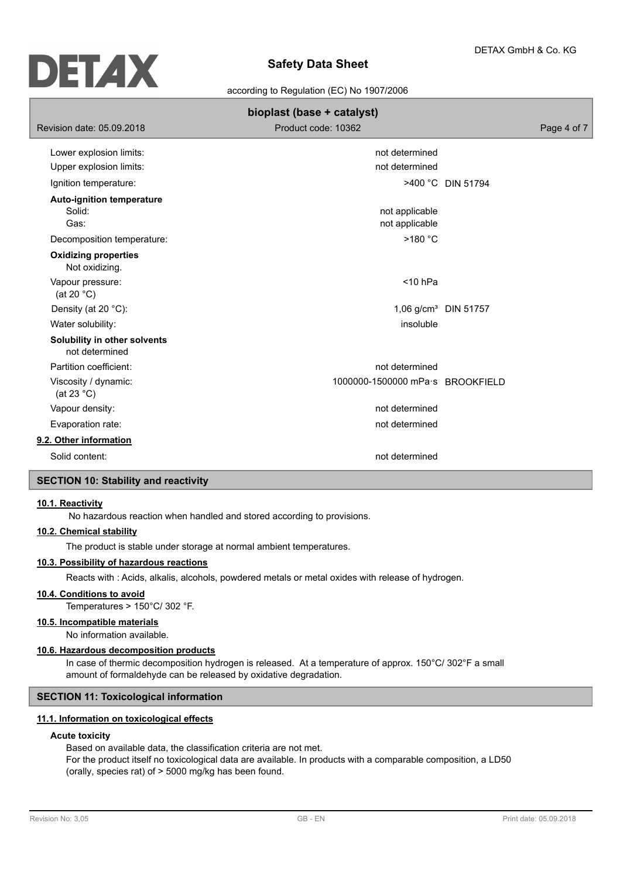

according to Regulation (EC) No 1907/2006

| bioplast (base + catalyst)                                                       |                                             |                                  |  |  |  |  |
|----------------------------------------------------------------------------------|---------------------------------------------|----------------------------------|--|--|--|--|
| Revision date: 05.09.2018                                                        | Product code: 10362                         | Page 4 of 7                      |  |  |  |  |
| Lower explosion limits:<br>Upper explosion limits:                               | not determined<br>not determined            |                                  |  |  |  |  |
| Ignition temperature:                                                            |                                             | >400 °C DIN 51794                |  |  |  |  |
| <b>Auto-ignition temperature</b><br>Solid:<br>Gas:<br>Decomposition temperature: | not applicable<br>not applicable<br>>180 °C |                                  |  |  |  |  |
| <b>Oxidizing properties</b><br>Not oxidizing.                                    |                                             |                                  |  |  |  |  |
| Vapour pressure:<br>(at 20 $°C$ )                                                | $<$ 10 hPa                                  |                                  |  |  |  |  |
| Density (at 20 °C):                                                              |                                             | 1,06 g/cm <sup>3</sup> DIN 51757 |  |  |  |  |
| Water solubility:                                                                | insoluble                                   |                                  |  |  |  |  |
| Solubility in other solvents<br>not determined                                   |                                             |                                  |  |  |  |  |
| Partition coefficient:                                                           | not determined                              |                                  |  |  |  |  |
| Viscosity / dynamic:<br>(at 23 $^{\circ}$ C)                                     | 1000000-1500000 mPa·s BROOKFIELD            |                                  |  |  |  |  |
| Vapour density:                                                                  | not determined                              |                                  |  |  |  |  |
| Evaporation rate:                                                                | not determined                              |                                  |  |  |  |  |
| 9.2. Other information                                                           |                                             |                                  |  |  |  |  |
| Solid content:                                                                   | not determined                              |                                  |  |  |  |  |

# **SECTION 10: Stability and reactivity**

## **10.1. Reactivity**

No hazardous reaction when handled and stored according to provisions.

# **10.2. Chemical stability**

The product is stable under storage at normal ambient temperatures.

## **10.3. Possibility of hazardous reactions**

Reacts with : Acids, alkalis, alcohols, powdered metals or metal oxides with release of hydrogen.

## **10.4. Conditions to avoid**

Temperatures > 150°C/ 302 °F.

# **10.5. Incompatible materials**

No information available.

# **10.6. Hazardous decomposition products**

In case of thermic decomposition hydrogen is released. At a temperature of approx. 150°C/ 302°F a small amount of formaldehyde can be released by oxidative degradation.

# **SECTION 11: Toxicological information**

# **11.1. Information on toxicological effects**

# **Acute toxicity**

Based on available data, the classification criteria are not met. For the product itself no toxicological data are available. In products with a comparable composition, a LD50 (orally, species rat) of > 5000 mg/kg has been found.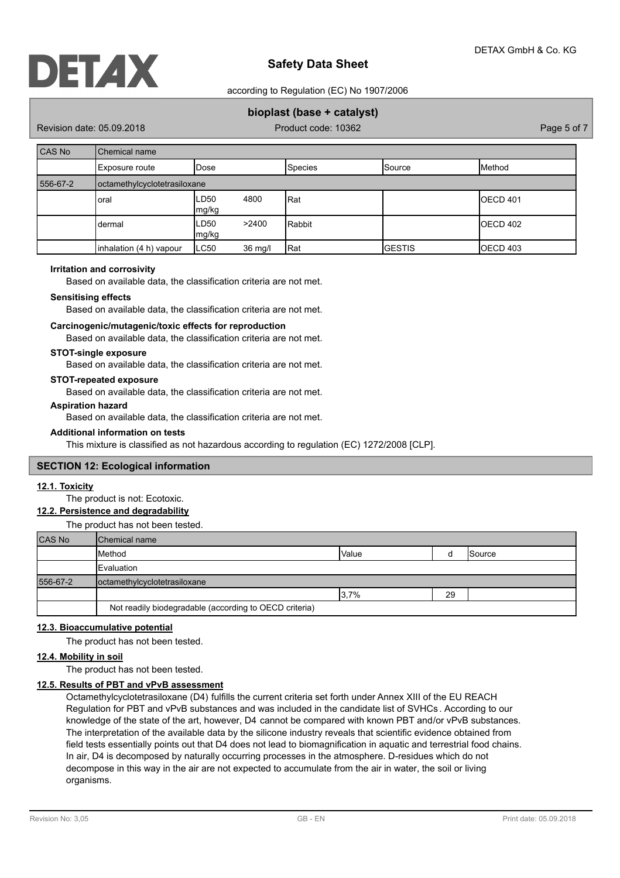

according to Regulation (EC) No 1907/2006

# **bioplast (base + catalyst)**

Revision date: 05.09.2018 Product code: 10362 Product code: 10362 Page 5 of 7

| <b>CAS No</b> | Chemical name                |                       |         |                |                 |                 |  |
|---------------|------------------------------|-----------------------|---------|----------------|-----------------|-----------------|--|
|               | Exposure route               | Dose                  |         | <b>Species</b> | <b>I</b> Source | <b>I</b> Method |  |
| 556-67-2      | octamethylcyclotetrasiloxane |                       |         |                |                 |                 |  |
|               | oral                         | ∟D50<br>4800<br>mg/kg |         | Rat            |                 | IOECD 401       |  |
|               | dermal                       | LD50<br>mg/kg         | >2400   | Rabbit         |                 | IOECD 402       |  |
|               | inhalation (4 h) vapour      | LC50                  | 36 mg/l | Rat            | <b>I</b> GESTIS | OECD 403        |  |

## **Irritation and corrosivity**

Based on available data, the classification criteria are not met.

## **Sensitising effects**

Based on available data, the classification criteria are not met.

# **Carcinogenic/mutagenic/toxic effects for reproduction**

Based on available data, the classification criteria are not met.

#### **STOT-single exposure**

Based on available data, the classification criteria are not met.

## **STOT-repeated exposure**

Based on available data, the classification criteria are not met.

## **Aspiration hazard**

Based on available data, the classification criteria are not met.

## **Additional information on tests**

This mixture is classified as not hazardous according to regulation (EC) 1272/2008 [CLP].

## **SECTION 12: Ecological information**

## **12.1. Toxicity**

The product is not: Ecotoxic.

## **12.2. Persistence and degradability**

The product has not been tested.

| <b>CAS No</b> | Chemical name                                          |       |    |               |  |  |
|---------------|--------------------------------------------------------|-------|----|---------------|--|--|
|               | Method                                                 | Value |    | <b>Source</b> |  |  |
|               | Evaluation                                             |       |    |               |  |  |
| 556-67-2      | octamethylcyclotetrasiloxane                           |       |    |               |  |  |
|               |                                                        | 3.7%  | 29 |               |  |  |
|               | Not readily biodegradable (according to OECD criteria) |       |    |               |  |  |

## **12.3. Bioaccumulative potential**

The product has not been tested.

# **12.4. Mobility in soil**

The product has not been tested.

# **12.5. Results of PBT and vPvB assessment**

Octamethylcyclotetrasiloxane (D4) fulfills the current criteria set forth under Annex XIII of the EU REACH Regulation for PBT and vPvB substances and was included in the candidate list of SVHCs . According to our knowledge of the state of the art, however, D4 cannot be compared with known PBT and/or vPvB substances. The interpretation of the available data by the silicone industry reveals that scientific evidence obtained from field tests essentially points out that D4 does not lead to biomagnification in aquatic and terrestrial food chains. In air, D4 is decomposed by naturally occurring processes in the atmosphere. D-residues which do not decompose in this way in the air are not expected to accumulate from the air in water, the soil or living organisms.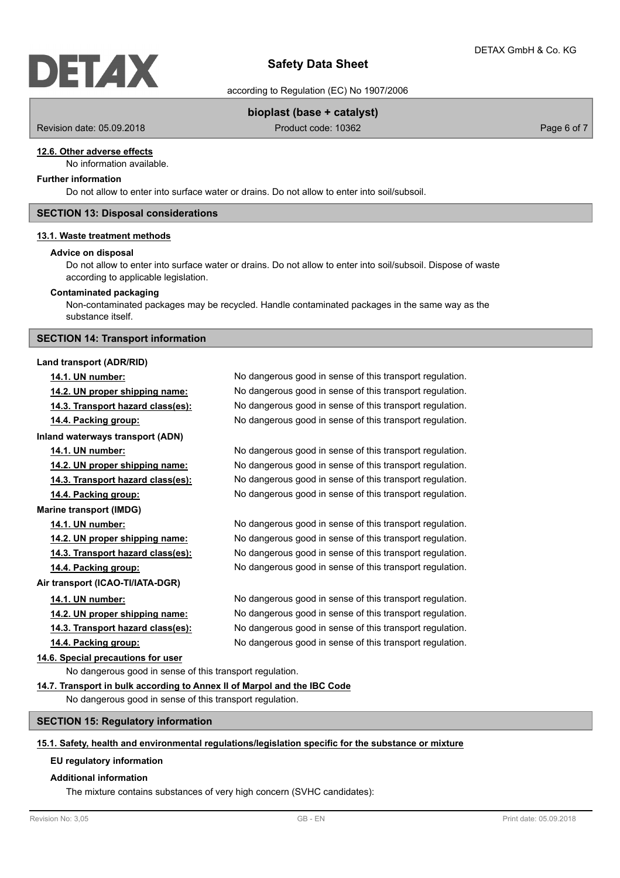

according to Regulation (EC) No 1907/2006

# **bioplast (base + catalyst)**

Revision date: 05.09.2018 Product code: 10362 Product code: 10362 Page 6 of 7

## **12.6. Other adverse effects**

No information available.

# **Further information**

Do not allow to enter into surface water or drains. Do not allow to enter into soil/subsoil.

## **SECTION 13: Disposal considerations**

#### **13.1. Waste treatment methods**

## **Advice on disposal**

Do not allow to enter into surface water or drains. Do not allow to enter into soil/subsoil. Dispose of waste according to applicable legislation.

## **Contaminated packaging**

Non-contaminated packages may be recycled. Handle contaminated packages in the same way as the substance itself.

## **SECTION 14: Transport information**

**Inland waterways transport (ADN)**

## **Land transport (ADR/RID)**

**Marine transport (IMDG)**

**14.1. UN number:** No dangerous good in sense of this transport regulation. **14.2. UN proper shipping name:** No dangerous good in sense of this transport regulation. **14.3. Transport hazard class(es):** No dangerous good in sense of this transport regulation. **14.4. Packing group:** No dangerous good in sense of this transport regulation.

**14.1. UN number:** No dangerous good in sense of this transport regulation. **14.2. UN proper shipping name:** No dangerous good in sense of this transport regulation. **14.3. Transport hazard class(es):** No dangerous good in sense of this transport regulation. **14.4. Packing group:** No dangerous good in sense of this transport regulation.

**14.1. UN number:** No dangerous good in sense of this transport regulation. **14.2. UN proper shipping name:** No dangerous good in sense of this transport regulation. **14.3. Transport hazard class(es):** No dangerous good in sense of this transport regulation. **14.4. Packing group:** No dangerous good in sense of this transport regulation.

**14.1. UN number:** No dangerous good in sense of this transport regulation. **14.2. UN proper shipping name:** No dangerous good in sense of this transport regulation. **14.3. Transport hazard class(es):** No dangerous good in sense of this transport regulation. **14.4. Packing group:** No dangerous good in sense of this transport regulation.

**14.6. Special precautions for user**

**Air transport (ICAO-TI/IATA-DGR)**

No dangerous good in sense of this transport regulation.

## **14.7. Transport in bulk according to Annex II of Marpol and the IBC Code**

No dangerous good in sense of this transport regulation.

## **SECTION 15: Regulatory information**

#### **15.1. Safety, health and environmental regulations/legislation specific for the substance or mixture**

## **EU regulatory information**

## **Additional information**

The mixture contains substances of very high concern (SVHC candidates):